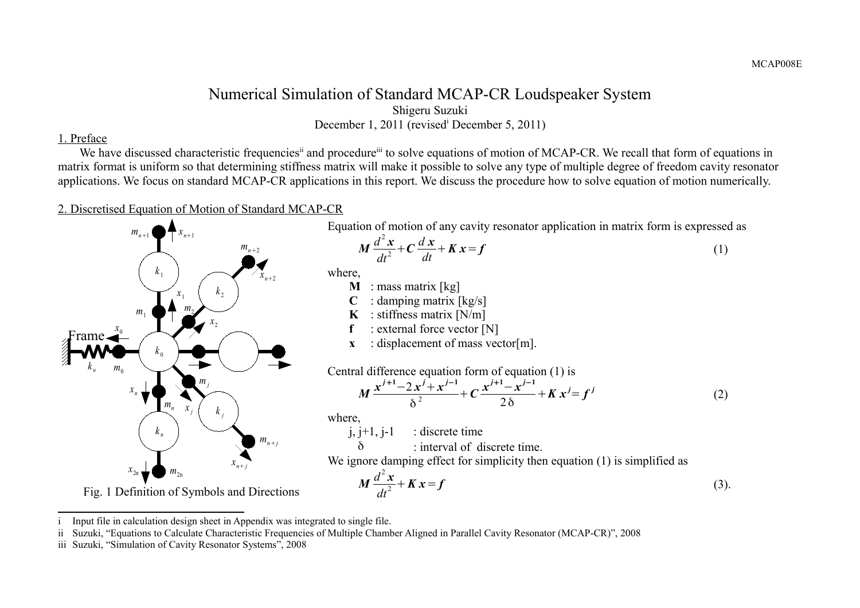## Numerical Simulation of Standard MCAP-CR Loudspeaker System Shigeru Suzuki December 1, 2011 (rev[i](#page-0-0)sed<sup>i</sup> December 5, 2011)

### 1. Preface

We have discussed characteristic frequencies<sup>[ii](#page-0-1)</sup> and procedure<sup>[iii](#page-0-2)</sup> to solve equations of motion of MCAP-CR. We recall that form of equations in matrix format is uniform so that determining stiffness matrix will make it possible to solve any type of multiple degree of freedom cavity resonator applications. We focus on standard MCAP-CR applications in this report. We discuss the procedure how to solve equation of motion numerically.

### 2. Discretised Equation of Motion of Standard MCAP-CR



Fig. 1 Definition of Symbols and Directions

Equation of motion of any cavity resonator application in matrix form is expressed as

$$
M\frac{d^2x}{dt^2} + C\frac{dx}{dt} + Kx = f
$$
 (1)

where,

- **M** : mass matrix [kg]
- $C$  : damping matrix  $\lceil \frac{kg}{s} \rceil$
- **K** : stiffness matrix  $[N/m]$
- **f** : external force vector [N]
- **x** : displacement of mass vector[m].

Central difference equation form of equation (1) is

$$
M\frac{x^{j+1}-2x^{j}+x^{j-1}}{\delta^2}+C\frac{x^{j+1}-x^{j-1}}{2\delta}+Kx^{j}=f^{j}
$$
 (2)

where,

 $j, j+1, j-1$  : discrete time

 $\delta$  : interval of discrete time.

We ignore damping effect for simplicity then equation (1) is simplified as

$$
M\frac{d^2x}{dt^2} + Kx = f
$$
 (3).

<span id="page-0-0"></span>Input file in calculation design sheet in Appendix was integrated to single file.

<span id="page-0-1"></span>ii Suzuki, "Equations to Calculate Characteristic Frequencies of Multiple Chamber Aligned in Parallel Cavity Resonator (MCAP-CR)", 2008

<span id="page-0-2"></span>iii Suzuki, "Simulation of Cavity Resonator Systems", 2008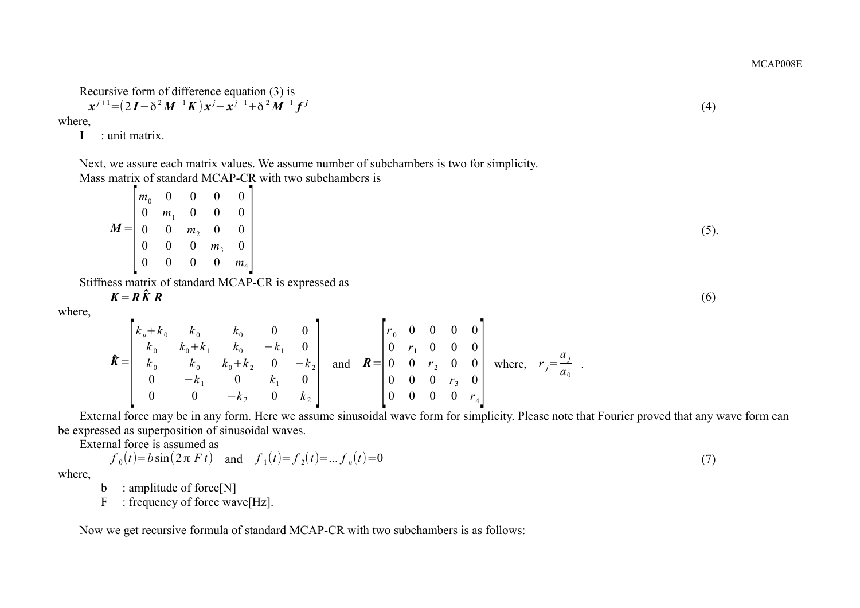MCAP008E

(4)

Recursively form of difference equation (3) is  

$$
x^{j+1} = (2I - \delta^2 M^{-1} K) x^j - x^{j-1} + \delta^2 M^{-1} f^j
$$

where,

**I** : unit matrix.

Next, we assure each matrix values. We assume number of subchambers is two for simplicity. Mass matrix of standard MCAP-CR with two subchambers is

|                                                                      |                                  |                     | $\left  m_0 \quad 0 \quad 0 \quad 0 \right $        |         |
|----------------------------------------------------------------------|----------------------------------|---------------------|-----------------------------------------------------|---------|
|                                                                      | $\overline{0}$                   |                     | $m_1$ 0 0 0                                         |         |
| $M = \begin{bmatrix} 0 \end{bmatrix}$                                |                                  |                     | $0 \quad m_2 \quad 0 \quad 0$                       |         |
|                                                                      |                                  |                     | $\begin{bmatrix} 0 & 0 & 0 & m_3 & 0 \end{bmatrix}$ |         |
|                                                                      | $\begin{array}{c} 0 \end{array}$ | $0\qquad 0\qquad 0$ |                                                     | $m_{4}$ |
| $\frac{1}{2}$ from $\frac{1}{2}$ of standard MCAD CD is expressed as |                                  |                     |                                                     |         |

Stiffness matrix of standard MCAP-CR is expressed as  $K = R \hat{K} R$ 

 $K = R\hat{K}R$  (6)

where,

$$
\hat{\mathbf{K}} = \begin{bmatrix} k_u + k_0 & k_0 & k_0 & 0 & 0 \\ k_0 & k_0 + k_1 & k_0 & -k_1 & 0 \\ k_0 & k_0 & k_0 + k_2 & 0 & -k_2 \\ 0 & -k_1 & 0 & k_1 & 0 \\ 0 & 0 & -k_2 & 0 & k_2 \end{bmatrix} \text{ and } \mathbf{R} = \begin{bmatrix} r_0 & 0 & 0 & 0 & 0 \\ 0 & r_1 & 0 & 0 & 0 \\ 0 & 0 & r_2 & 0 & 0 \\ 0 & 0 & 0 & r_3 & 0 \\ 0 & 0 & 0 & 0 & r_4 \end{bmatrix} \text{ where, } r_j = \frac{a_j}{a_0}.
$$

External force may be in any form. Here we assume sinusoidal wave form for simplicity. Please note that Fourier proved that any wave form can be expressed as superposition of sinusoidal waves.

External force is assumed as

$$
f_0(t) = b \sin(2\pi F t)
$$
 and  $f_1(t) = f_2(t) = ... f_n(t) = 0$  (7)

where,

- b : amplitude of force[N]
- F : frequency of force wave[Hz].

Now we get recursive formula of standard MCAP-CR with two subchambers is as follows: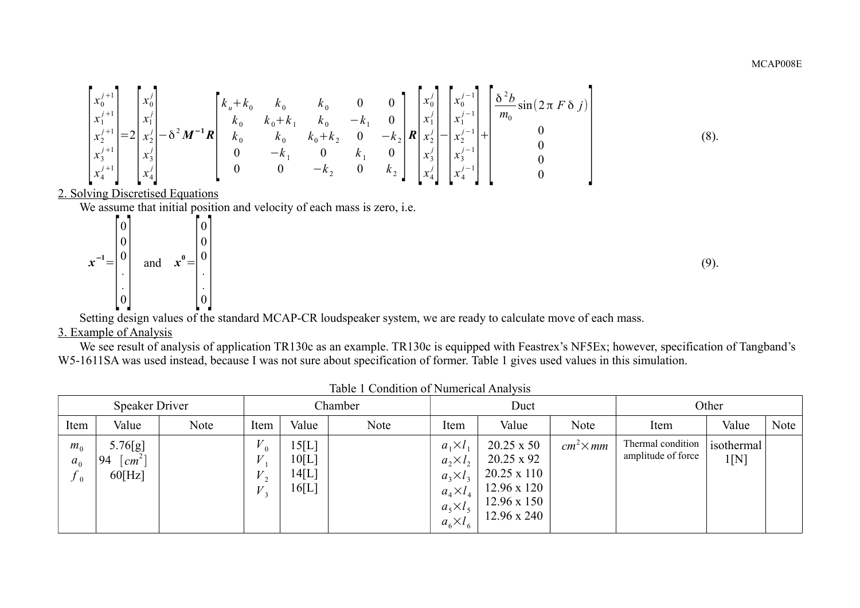$$
\begin{bmatrix} x_0^{j+1} \\ x_1^{j+1} \\ x_2^{j+1} \\ x_3^{j+1} \\ x_4^{j+1} \end{bmatrix} = 2 \begin{bmatrix} x_0^j \\ x_1^j \\ x_2^j \\ x_3^j \\ x_4^j \end{bmatrix} - \delta^2 M^{-1} R \begin{bmatrix} k_u + k_0 & k_0 & k_0 & 0 & 0 \\ k_0 & k_0 + k_1 & k_0 & -k_1 & 0 \\ k_0 & k_0 & k_0 + k_2 & 0 & -k_2 \\ 0 & -k_1 & 0 & k_1 & 0 \\ 0 & 0 & -k_2 & 0 & k_2 \end{bmatrix} R \begin{bmatrix} x_0^j \\ x_1^j \\ x_2^j \\ x_3^j \\ x_4^j \end{bmatrix} + \begin{bmatrix} x_0^{j-1} \\ x_1^{j-1} \\ x_2^{j-1} \\ x_3^j \\ x_4^j \end{bmatrix} + \begin{bmatrix} \frac{\delta^2 b}{m_0} \sin(2\pi F \delta j) \\ m_0 & 0 \\ 0 \\ 0 \\ 0 \end{bmatrix}
$$
 (8).

2. Solving Discretised Equations

We assume that initial position and velocity of each mass is zero, i.e.

$$
x^{-1} = \begin{bmatrix} 0 \\ 0 \\ 0 \\ \vdots \\ 0 \end{bmatrix} \quad \text{and} \quad x^0 = \begin{bmatrix} 0 \\ 0 \\ 0 \\ \vdots \\ 0 \end{bmatrix}
$$
 (9).

Setting design values of the standard MCAP-CR loudspeaker system, we are ready to calculate move of each mass.

# 3. Example of Analysis

We see result of analysis of application TR130c as an example. TR130c is equipped with Feastrex's NF5Ex; however, specification of Tangband's W5-1611SA was used instead, because I was not sure about specification of former. Table 1 gives used values in this simulation.

|                                    | <b>Speaker Driver</b>                         |      | Chamber                            |                                  |      | Duct                                                                                                              |                                                                                                                                |                  | Other                                   |                    |      |
|------------------------------------|-----------------------------------------------|------|------------------------------------|----------------------------------|------|-------------------------------------------------------------------------------------------------------------------|--------------------------------------------------------------------------------------------------------------------------------|------------------|-----------------------------------------|--------------------|------|
| Item                               | Value                                         | Note | Item                               | Value                            | Note | Item                                                                                                              | Value                                                                                                                          | Note             | Item                                    | Value              | Note |
| $m_{0}$<br>a <sub>0</sub><br>$J_0$ | 5.76[g]<br>94<br>cm <sup>2</sup><br>$60$ [Hz] |      | $V_{0}$<br>V<br>$V_{\rm{a}}$<br>V, | 15[L]<br>10[L]<br>14[L]<br>16[L] |      | $a_1 \times l_1$<br>$a_2\times l_2$<br>$a_3 \times l_3$<br>$a_4 \times l_4$<br>$a_5\times l_5$<br>$a_6\times l_6$ | $20.25 \times 50$<br>$20.25 \times 92$<br>$20.25 \times 110$<br>$12.96 \times 120$<br>$12.96 \times 150$<br>$12.96 \times 240$ | $cm^2 \times mm$ | Thermal condition<br>amplitude of force | isothermal<br>1[N] |      |

Table 1 Condition of Numerical Analysis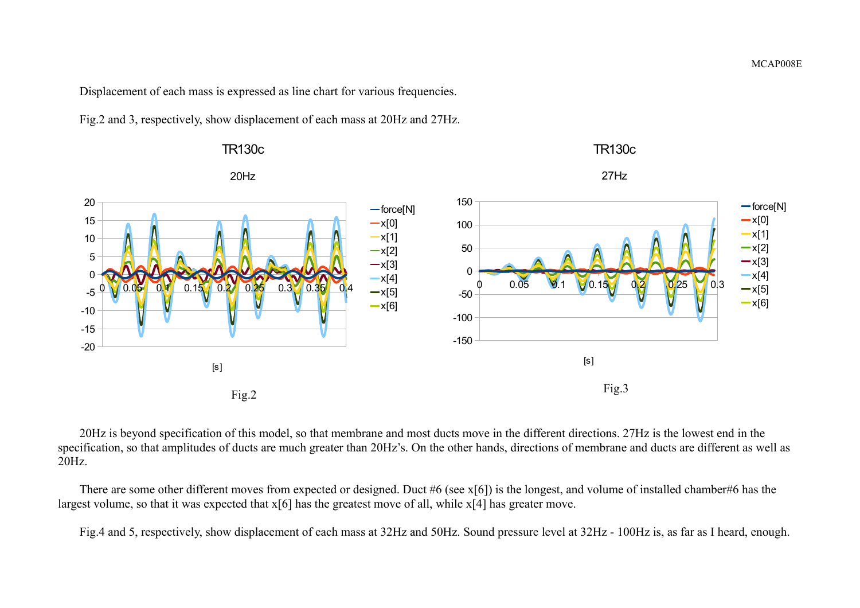Displacement of each mass is expressed as line chart for various frequencies.

Fig.2 and 3, respectively, show displacement of each mass at 20Hz and 27Hz.



20Hz is beyond specification of this model, so that membrane and most ducts move in the different directions. 27Hz is the lowest end in the specification, so that amplitudes of ducts are much greater than 20Hz's. On the other hands, directions of membrane and ducts are different as well as 20Hz.

There are some other different moves from expected or designed. Duct #6 (see x[6]) is the longest, and volume of installed chamber#6 has the largest volume, so that it was expected that x[6] has the greatest move of all, while x[4] has greater move.

Fig.4 and 5, respectively, show displacement of each mass at 32Hz and 50Hz. Sound pressure level at 32Hz - 100Hz is, as far as I heard, enough.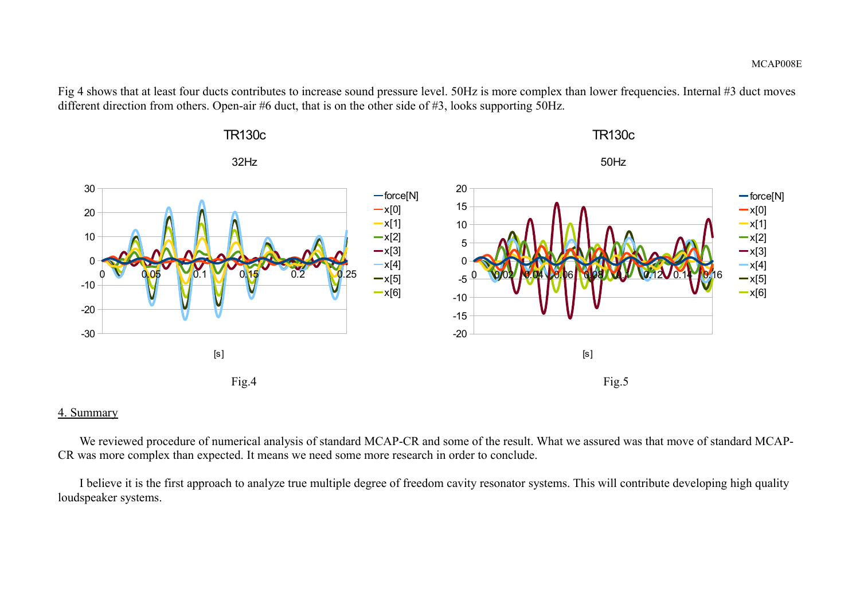Fig 4 shows that at least four ducts contributes to increase sound pressure level. 50Hz is more complex than lower frequencies. Internal #3 duct moves different direction from others. Open-air #6 duct, that is on the other side of #3, looks supporting 50Hz.



#### 4. Summary

We reviewed procedure of numerical analysis of standard MCAP-CR and some of the result. What we assured was that move of standard MCAP-CR was more complex than expected. It means we need some more research in order to conclude.

I believe it is the first approach to analyze true multiple degree of freedom cavity resonator systems. This will contribute developing high quality loudspeaker systems.